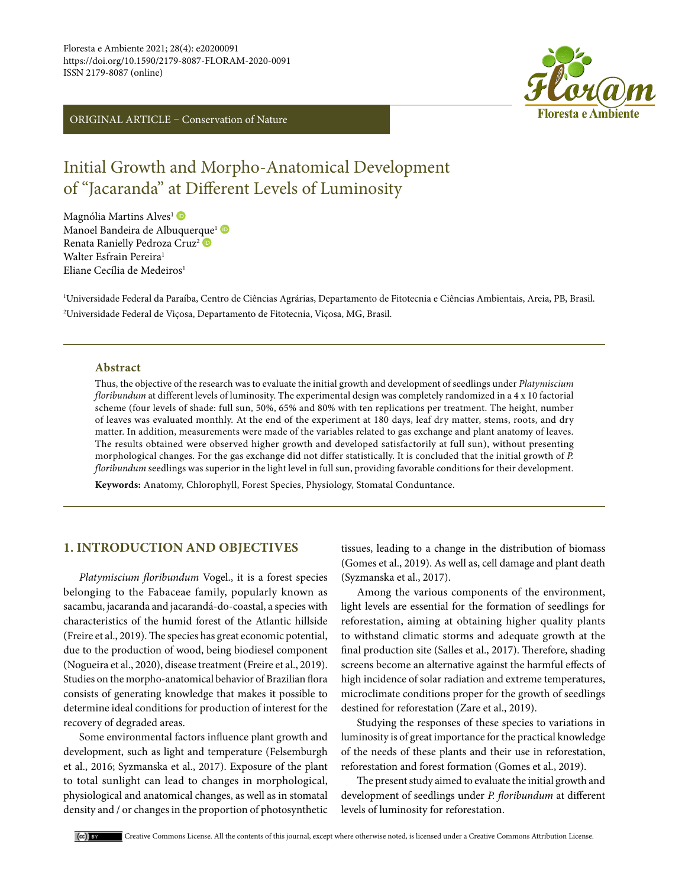ORIGINAL ARTICLE – Conservation of Nature



# Initial Growth and Morpho-Anatomical Development of "Jacaranda" at Different Levels of Luminosity

Magnólia Martins Alves<sup>1</sup> D Manoel Bandeira de Albu[que](https://orcid.org/0000-0002-7189-8941)rque<sup>1</sup> Renata Ranielly Pedroza Cruz<sup>2</sup> Walter Esfrain Pereira<sup>1</sup> Eliane Cecília de Medeiros<sup>1</sup>

1 Universidade Federal da Paraíba, Centro de Ciências Agrárias, Departamento de Fitotecnia e Ciências Ambientais, Areia, PB, Brasil. 2 Universidade Federal de Viçosa, Departamento de Fitotecnia, Viçosa, MG, Brasil.

## **Abstract**

Thus, the objective of the research was to evaluate the initial growth and development of seedlings under *Platymiscium floribundum* at different levels of luminosity. The experimental design was completely randomized in a 4 x 10 factorial scheme (four levels of shade: full sun, 50%, 65% and 80% with ten replications per treatment. The height, number of leaves was evaluated monthly. At the end of the experiment at 180 days, leaf dry matter, stems, roots, and dry matter. In addition, measurements were made of the variables related to gas exchange and plant anatomy of leaves. The results obtained were observed higher growth and developed satisfactorily at full sun), without presenting morphological changes. For the gas exchange did not differ statistically. It is concluded that the initial growth of *P. floribundum* seedlings was superior in the light level in full sun, providing favorable conditions for their development.

**Keywords:** Anatomy, Chlorophyll, Forest Species, Physiology, Stomatal Conduntance.

# **1. INTRODUCTION AND OBJECTIVES**

*Platymiscium floribundum* Vogel., it is a forest species belonging to the Fabaceae family, popularly known as sacambu, jacaranda and jacarandá-do-coastal, a species with characteristics of the humid forest of the Atlantic hillside (Freire et al., 2019). The species has great economic potential, due to the production of wood, being biodiesel component (Nogueira et al., 2020), disease treatment (Freire et al., 2019). Studies on the morpho-anatomical behavior of Brazilian flora consists of generating knowledge that makes it possible to determine ideal conditions for production of interest for the recovery of degraded areas.

Some environmental factors influence plant growth and development, such as light and temperature (Felsemburgh et al., 2016; Syzmanska et al., 2017). Exposure of the plant to total sunlight can lead to changes in morphological, physiological and anatomical changes, as well as in stomatal density and / or changes in the proportion of photosynthetic

tissues, leading to a change in the distribution of biomass (Gomes et al., 2019). As well as, cell damage and plant death (Syzmanska et al., 2017).

Among the various components of the environment, light levels are essential for the formation of seedlings for reforestation, aiming at obtaining higher quality plants to withstand climatic storms and adequate growth at the final production site (Salles et al., 2017). Therefore, shading screens become an alternative against the harmful effects of high incidence of solar radiation and extreme temperatures, microclimate conditions proper for the growth of seedlings destined for reforestation (Zare et al., 2019).

Studying the responses of these species to variations in luminosity is of great importance for the practical knowledge of the needs of these plants and their use in reforestation, reforestation and forest formation (Gomes et al., 2019).

The present study aimed to evaluate the initial growth and development of seedlings under *P. floribundum* at different levels of luminosity for reforestation.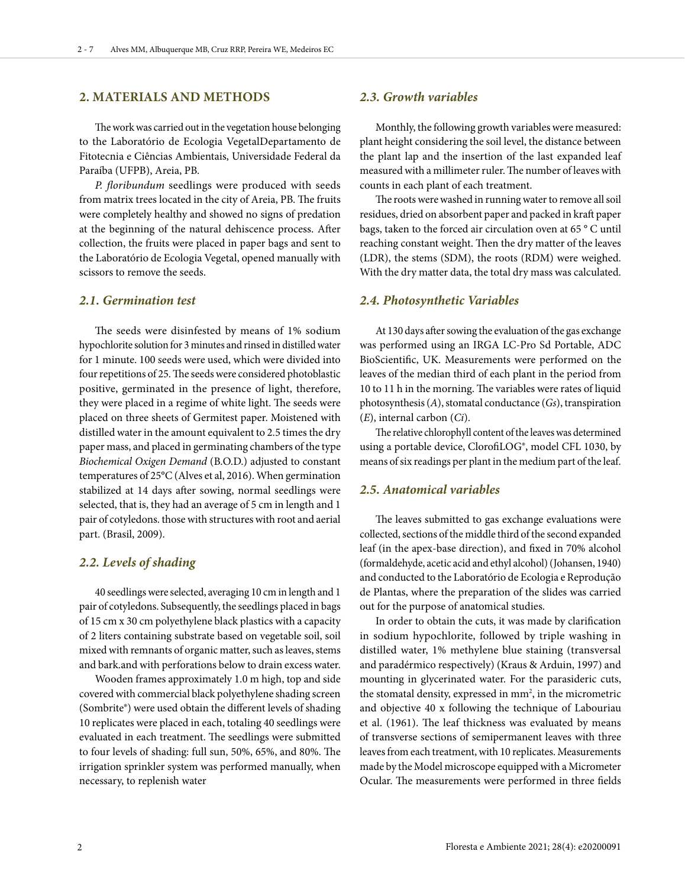## **2. MATERIALS AND METHODS**

The work was carried out in the vegetation house belonging to the Laboratório de Ecologia VegetalDepartamento de Fitotecnia e Ciências Ambientais, Universidade Federal da Paraíba (UFPB), Areia, PB.

*P. floribundum* seedlings were produced with seeds from matrix trees located in the city of Areia, PB. The fruits were completely healthy and showed no signs of predation at the beginning of the natural dehiscence process. After collection, the fruits were placed in paper bags and sent to the Laboratório de Ecologia Vegetal, opened manually with scissors to remove the seeds.

### *2.1. Germination test*

The seeds were disinfested by means of 1% sodium hypochlorite solution for 3 minutes and rinsed in distilled water for 1 minute. 100 seeds were used, which were divided into four repetitions of 25. The seeds were considered photoblastic positive, germinated in the presence of light, therefore, they were placed in a regime of white light. The seeds were placed on three sheets of Germitest paper. Moistened with distilled water in the amount equivalent to 2.5 times the dry paper mass, and placed in germinating chambers of the type *Biochemical Oxigen Demand* (B.O.D.) adjusted to constant temperatures of 25°C (Alves et al, 2016). When germination stabilized at 14 days after sowing, normal seedlings were selected, that is, they had an average of 5 cm in length and 1 pair of cotyledons. those with structures with root and aerial part. (Brasil, 2009).

## *2.2. Levels of shading*

40 seedlings were selected, averaging 10 cm in length and 1 pair of cotyledons. Subsequently, the seedlings placed in bags of 15 cm x 30 cm polyethylene black plastics with a capacity of 2 liters containing substrate based on vegetable soil, soil mixed with remnants of organic matter, such as leaves, stems and bark.and with perforations below to drain excess water.

Wooden frames approximately 1.0 m high, top and side covered with commercial black polyethylene shading screen (Sombrite®) were used obtain the different levels of shading 10 replicates were placed in each, totaling 40 seedlings were evaluated in each treatment. The seedlings were submitted to four levels of shading: full sun, 50%, 65%, and 80%. The irrigation sprinkler system was performed manually, when necessary, to replenish water

## *2.3. Growth variables*

Monthly, the following growth variables were measured: plant height considering the soil level, the distance between the plant lap and the insertion of the last expanded leaf measured with a millimeter ruler. The number of leaves with counts in each plant of each treatment.

The roots were washed in running water to remove all soil residues, dried on absorbent paper and packed in kraft paper bags, taken to the forced air circulation oven at 65 ° C until reaching constant weight. Then the dry matter of the leaves (LDR), the stems (SDM), the roots (RDM) were weighed. With the dry matter data, the total dry mass was calculated.

### *2.4. Photosynthetic Variables*

At 130 days after sowing the evaluation of the gas exchange was performed using an IRGA LC-Pro Sd Portable, ADC BioScientific, UK. Measurements were performed on the leaves of the median third of each plant in the period from 10 to 11 h in the morning. The variables were rates of liquid photosynthesis (*A*), stomatal conductance (*Gs*), transpiration (*E*), internal carbon (*Ci*).

The relative chlorophyll content of the leaves was determined using a portable device, ClorofiLOG®, model CFL 1030, by means of six readings per plant in the medium part of the leaf.

## *2.5. Anatomical variables*

The leaves submitted to gas exchange evaluations were collected, sections of the middle third of the second expanded leaf (in the apex-base direction), and fixed in 70% alcohol (formaldehyde, acetic acid and ethyl alcohol) (Johansen, 1940) and conducted to the Laboratório de Ecologia e Reprodução de Plantas, where the preparation of the slides was carried out for the purpose of anatomical studies.

In order to obtain the cuts, it was made by clarification in sodium hypochlorite, followed by triple washing in distilled water, 1% methylene blue staining (transversal and paradérmico respectively) (Kraus & Arduin, 1997) and mounting in glycerinated water. For the parasideric cuts, the stomatal density, expressed in  $mm<sup>2</sup>$ , in the micrometric and objective 40 x following the technique of Labouriau et al. (1961). The leaf thickness was evaluated by means of transverse sections of semipermanent leaves with three leaves from each treatment, with 10 replicates. Measurements made by the Model microscope equipped with a Micrometer Ocular. The measurements were performed in three fields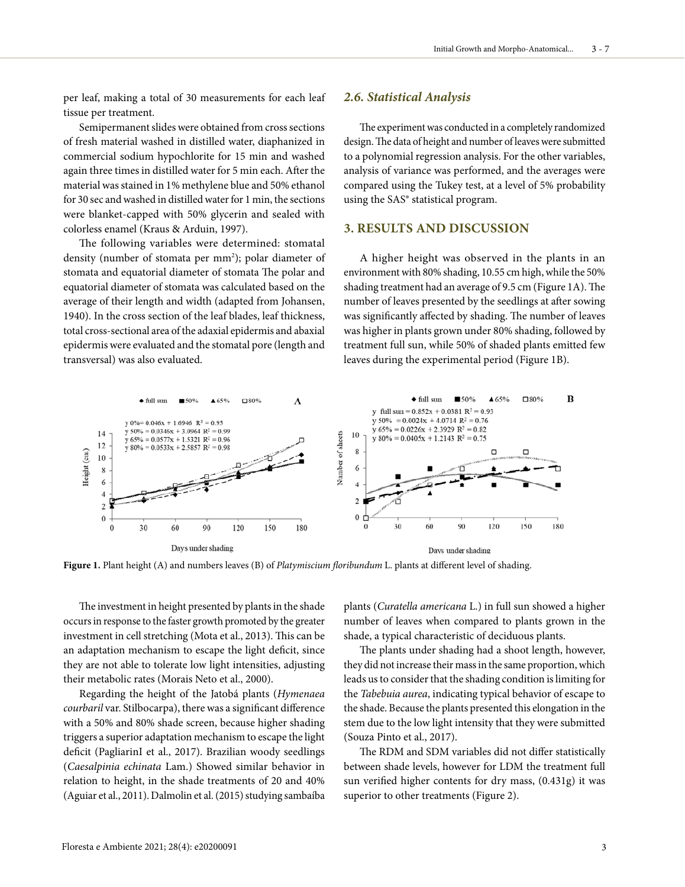per leaf, making a total of 30 measurements for each leaf tissue per treatment.

Semipermanent slides were obtained from cross sections of fresh material washed in distilled water, diaphanized in commercial sodium hypochlorite for 15 min and washed again three times in distilled water for 5 min each. After the material was stained in 1% methylene blue and 50% ethanol for 30 sec and washed in distilled water for 1 min, the sections were blanket-capped with 50% glycerin and sealed with colorless enamel (Kraus & Arduin, 1997).

The following variables were determined: stomatal density (number of stomata per mm<sup>2</sup>); polar diameter of stomata and equatorial diameter of stomata The polar and equatorial diameter of stomata was calculated based on the average of their length and width (adapted from Johansen, 1940). In the cross section of the leaf blades, leaf thickness, total cross-sectional area of the adaxial epidermis and abaxial epidermis were evaluated and the stomatal pore (length and transversal) was also evaluated.

#### *2.6. Statistical Analysis*

The experiment was conducted in a completely randomized design. The data of height and number of leaves were submitted to a polynomial regression analysis. For the other variables, analysis of variance was performed, and the averages were compared using the Tukey test, at a level of 5% probability using the SAS® statistical program.

# **3. RESULTS AND DISCUSSION**

A higher height was observed in the plants in an environment with 80% shading, 10.55 cm high, while the 50% shading treatment had an average of 9.5 cm (Figure 1A). The number of leaves presented by the seedlings at after sowing was significantly affected by shading. The number of leaves was higher in plants grown under 80% shading, followed by treatment full sun, while 50% of shaded plants emitted few leaves during the experimental period (Figure 1B).



**Figure 1.** Plant height (A) and numbers leaves (B) of *Platymiscium floribundum* L. plants at different level of shading.

The investment in height presented by plants in the shade occurs in response to the faster growth promoted by the greater investment in cell stretching (Mota et al., 2013). This can be an adaptation mechanism to escape the light deficit, since they are not able to tolerate low light intensities, adjusting their metabolic rates (Morais Neto et al., 2000).

Regarding the height of the Jatobá plants (*Hymenaea courbaril* var. Stilbocarpa), there was a significant difference with a 50% and 80% shade screen, because higher shading triggers a superior adaptation mechanism to escape the light deficit (PagliarinI et al., 2017). Brazilian woody seedlings (*Caesalpinia echinata* Lam.) Showed similar behavior in relation to height, in the shade treatments of 20 and 40% (Aguiar et al., 2011). Dalmolin et al. (2015) studying sambaíba

plants (*Curatella americana* L.) in full sun showed a higher number of leaves when compared to plants grown in the shade, a typical characteristic of deciduous plants.

The plants under shading had a shoot length, however, they did not increase their mass in the same proportion, which leads us to consider that the shading condition is limiting for the *Tabebuia aurea*, indicating typical behavior of escape to the shade. Because the plants presented this elongation in the stem due to the low light intensity that they were submitted (Souza Pinto et al., 2017).

The RDM and SDM variables did not differ statistically between shade levels, however for LDM the treatment full sun verified higher contents for dry mass, (0.431g) it was superior to other treatments (Figure 2).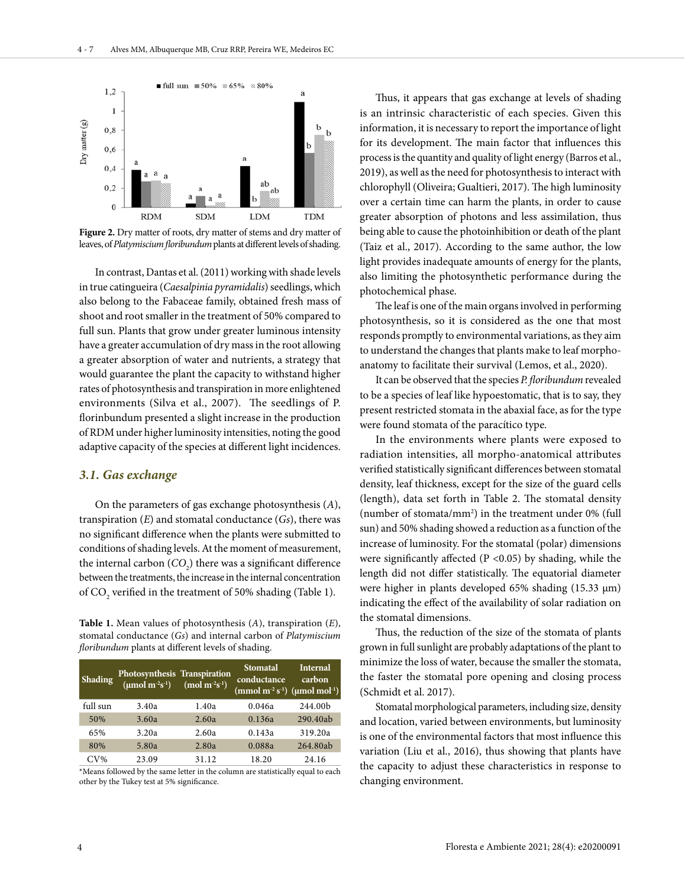

**Figure 2.** Dry matter of roots, dry matter of stems and dry matter of leaves, of *Platymiscium floribundum* plants at different levels of shading.

In contrast, Dantas et al. (2011) working with shade levels in true catingueira (*Caesalpinia pyramidalis*) seedlings, which also belong to the Fabaceae family, obtained fresh mass of shoot and root smaller in the treatment of 50% compared to full sun. Plants that grow under greater luminous intensity have a greater accumulation of dry mass in the root allowing a greater absorption of water and nutrients, a strategy that would guarantee the plant the capacity to withstand higher rates of photosynthesis and transpiration in more enlightened environments (Silva et al., 2007). The seedlings of P. florinbundum presented a slight increase in the production of RDM under higher luminosity intensities, noting the good adaptive capacity of the species at different light incidences.

### *3.1. Gas exchange*

On the parameters of gas exchange photosynthesis (*A*), transpiration (*E*) and stomatal conductance (*Gs*), there was no significant difference when the plants were submitted to conditions of shading levels. At the moment of measurement, the internal carbon  $(CO_2)$  there was a significant difference between the treatments, the increase in the internal concentration of  $\mathrm{CO}_2$  verified in the treatment of 50% shading (Table 1).

**Table 1.** Mean values of photosynthesis (*A*), transpiration (*E*), stomatal conductance (*Gs*) and internal carbon of *Platymiscium floribundum* plants at different levels of shading.

|  | <b>Shading</b> | Photosynthesis Transpiration<br>( $\mu$ mol m <sup>-2</sup> s <sup>-1</sup> ) (mol m <sup>-2</sup> s <sup>-1</sup> ) |       | <b>Stomatal</b><br>conductance<br>(mmol m <sup>-2</sup> s <sup>-1</sup> ) (µmol mol <sup>-1</sup> ) | <b>Internal</b><br>carbon |
|--|----------------|----------------------------------------------------------------------------------------------------------------------|-------|-----------------------------------------------------------------------------------------------------|---------------------------|
|  | full sun       | 3.40a                                                                                                                | 1.40a | 0.046a                                                                                              | 244.00b                   |
|  | 50%            | 3.60a                                                                                                                | 2.60a | 0.136a                                                                                              | 290.40ab                  |
|  | 65%            | 3.20a                                                                                                                | 2.60a | 0.143a                                                                                              | 319.20a                   |
|  | 80%            | 5.80a                                                                                                                | 2.80a | 0.088a                                                                                              | 264.80ab                  |
|  | $CV\%$         | 23.09                                                                                                                | 31.12 | 18.20                                                                                               | 24.16                     |

\*Means followed by the same letter in the column are statistically equal to each other by the Tukey test at 5% significance.

Thus, it appears that gas exchange at levels of shading is an intrinsic characteristic of each species. Given this information, it is necessary to report the importance of light for its development. The main factor that influences this process is the quantity and quality of light energy (Barros et al., 2019), as well as the need for photosynthesis to interact with chlorophyll (Oliveira; Gualtieri, 2017). The high luminosity over a certain time can harm the plants, in order to cause greater absorption of photons and less assimilation, thus being able to cause the photoinhibition or death of the plant (Taiz et al., 2017). According to the same author, the low light provides inadequate amounts of energy for the plants, also limiting the photosynthetic performance during the photochemical phase.

The leaf is one of the main organs involved in performing photosynthesis, so it is considered as the one that most responds promptly to environmental variations, as they aim to understand the changes that plants make to leaf morphoanatomy to facilitate their survival (Lemos, et al., 2020).

It can be observed that the species *P. floribundum* revealed to be a species of leaf like hypoestomatic, that is to say, they present restricted stomata in the abaxial face, as for the type were found stomata of the paracítico type.

In the environments where plants were exposed to radiation intensities, all morpho-anatomical attributes verified statistically significant differences between stomatal density, leaf thickness, except for the size of the guard cells (length), data set forth in Table 2. The stomatal density (number of stomata/mm<sup>2</sup>) in the treatment under 0% (full sun) and 50% shading showed a reduction as a function of the increase of luminosity. For the stomatal (polar) dimensions were significantly affected ( $P < 0.05$ ) by shading, while the length did not differ statistically. The equatorial diameter were higher in plants developed 65% shading (15.33 μm) indicating the effect of the availability of solar radiation on the stomatal dimensions.

Thus, the reduction of the size of the stomata of plants grown in full sunlight are probably adaptations of the plant to minimize the loss of water, because the smaller the stomata, the faster the stomatal pore opening and closing process (Schmidt et al. 2017).

Stomatal morphological parameters, including size, density and location, varied between environments, but luminosity is one of the environmental factors that most influence this variation (Liu et al., 2016), thus showing that plants have the capacity to adjust these characteristics in response to changing environment.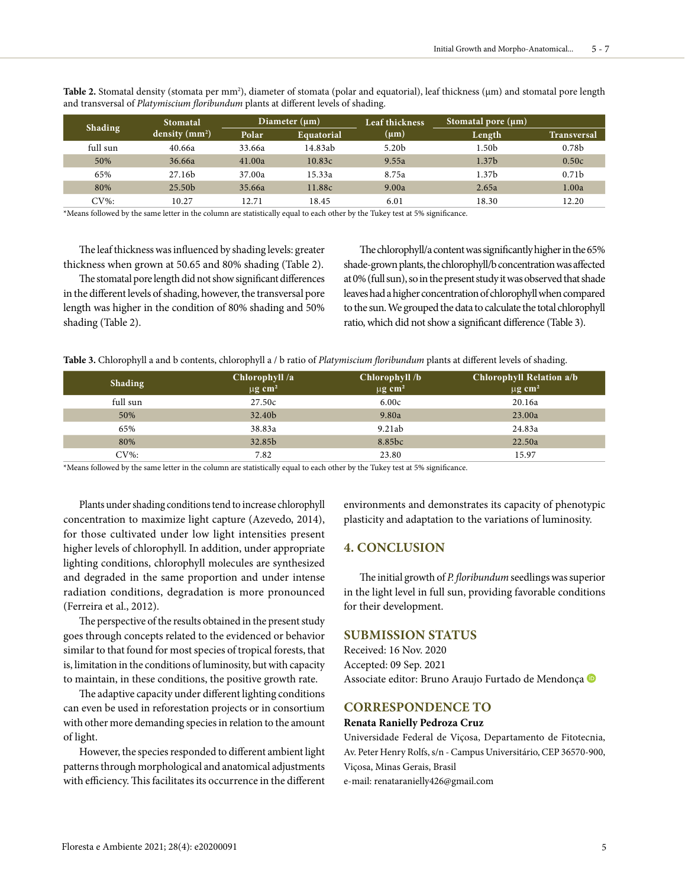|                | Stomatal           | Diameter $(\mu m)$ |            | Leaf thickness    | $\sqrt{3}$ Stomatal pore $(\mu m)^{\prime}$ |                    |
|----------------|--------------------|--------------------|------------|-------------------|---------------------------------------------|--------------------|
| <b>Shading</b> | density $(mm2)$    | Polar              | Equatorial | $(\mu m)$         | Length                                      | <b>Transversal</b> |
| full sun       | 40.66a             | 33.66a             | 14.83ab    | 5.20 <sub>b</sub> | 1.50 <sub>b</sub>                           | 0.78 <sub>b</sub>  |
| 50%            | 36.66a             | 41.00a             | 10.83c     | 9.55a             | 1.37 <sub>b</sub>                           | 0.50c              |
| 65%            | 27.16b             | 37.00a             | 15.33a     | 8.75a             | 1.37 <sub>b</sub>                           | 0.71 <sub>b</sub>  |
| 80%            | 25.50 <sub>b</sub> | 35.66a             | 11.88c     | 9.00a             | 2.65a                                       | 1.00a              |
| $CV\%$ :       | 10.27              | 12.71              | 18.45      | 6.01              | 18.30                                       | 12.20              |

**Table 2.** Stomatal density (stomata per mm²), diameter of stomata (polar and equatorial), leaf thickness (μm) and stomatal pore length and transversal of *Platymiscium floribundum* plants at different levels of shading.

\*Means followed by the same letter in the column are statistically equal to each other by the Tukey test at 5% significance.

The leaf thickness was influenced by shading levels: greater thickness when grown at 50.65 and 80% shading (Table 2).

The stomatal pore length did not show significant differences in the different levels of shading, however, the transversal pore length was higher in the condition of 80% shading and 50% shading (Table 2).

The chlorophyll/a content was significantly higher in the 65% shade-grown plants, the chlorophyll/b concentration was affected at 0% (full sun), so in the present study it was observed that shade leaves had a higher concentration of chlorophyll when compared to the sun. We grouped the data to calculate the total chlorophyll ratio, which did not show a significant difference (Table 3).

**Table 3.** Chlorophyll a and b contents, chlorophyll a / b ratio of *Platymiscium floribundum* plants at different levels of shading.

| Shading  | Chlorophyll /a          | Chlorophyll /b          | <b>Chlorophyll Relation a/b</b> |
|----------|-------------------------|-------------------------|---------------------------------|
|          | $\mu$ g cm <sup>2</sup> | $\mu$ g cm <sup>2</sup> | $\mu$ g cm <sup>2</sup>         |
| full sun | 27.50c                  | 6.00c                   | 20.16a                          |
| 50%      | 32.40b                  | 9.80a                   | 23.00a                          |
| 65%      | 38.83a                  | 9.21ab                  | 24.83a                          |
| 80%      | 32.85b                  | 8.85bc                  | 22.50a                          |
| $CV\%$ : | 7.82                    | 23.80                   | 15.97                           |

\*Means followed by the same letter in the column are statistically equal to each other by the Tukey test at 5% significance.

Plants under shading conditions tend to increase chlorophyll concentration to maximize light capture (Azevedo, 2014), for those cultivated under low light intensities present higher levels of chlorophyll. In addition, under appropriate lighting conditions, chlorophyll molecules are synthesized and degraded in the same proportion and under intense radiation conditions, degradation is more pronounced (Ferreira et al., 2012).

The perspective of the results obtained in the present study goes through concepts related to the evidenced or behavior similar to that found for most species of tropical forests, that is, limitation in the conditions of luminosity, but with capacity to maintain, in these conditions, the positive growth rate.

The adaptive capacity under different lighting conditions can even be used in reforestation projects or in consortium with other more demanding species in relation to the amount of light.

However, the species responded to different ambient light patterns through morphological and anatomical adjustments with efficiency. This facilitates its occurrence in the different

environments and demonstrates its capacity of phenotypic plasticity and adaptation to the variations of luminosity.

## **4. CONCLUSION**

The initial growth of *P. floribundum* seedlings was superior in the light level in full sun, providing favorable conditions for their development.

## **SUBMISSION STATUS**

Received: 16 Nov. 2020 Accepted: 09 Sep. 2021 Associate editor: Bruno Araujo Furtado de Mendonça

### **CORRESPONDENCE TO**

#### **Renata Ranielly Pedroza Cruz**

Universidade Federal de Viçosa, Departamento de Fitotecnia, Av. Peter Henry Rolfs, s/n - Campus Universitário, CEP 36570-900, Viçosa, Minas Gerais, Brasil e-mail: renataranielly426@gmail.com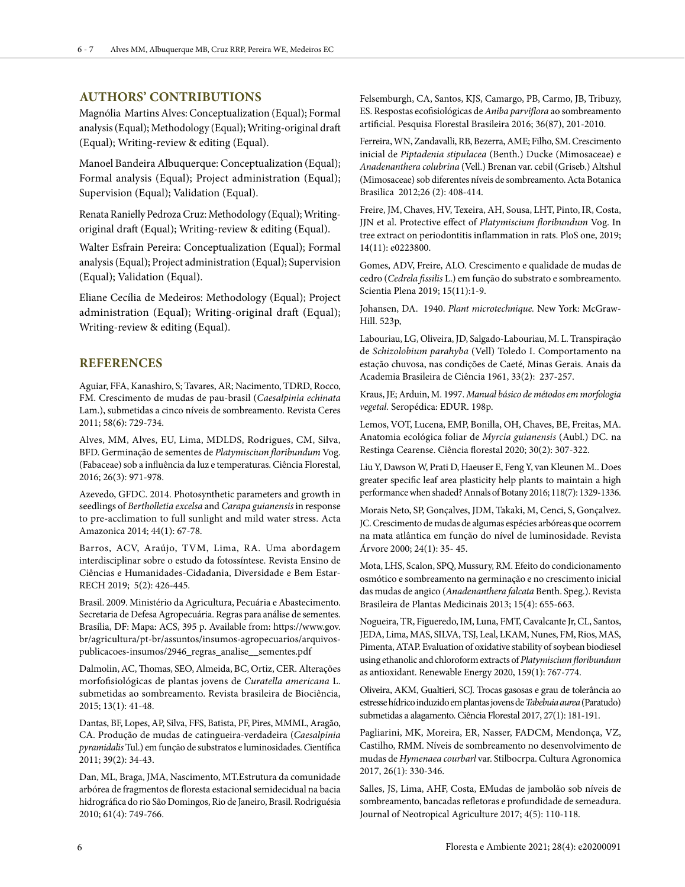# **AUTHORS' CONTRIBUTIONS**

Magnólia Martins Alves: Conceptualization (Equal); Formal analysis (Equal); Methodology (Equal); Writing-original draft (Equal); Writing-review & editing (Equal).

Manoel Bandeira Albuquerque: Conceptualization (Equal); Formal analysis (Equal); Project administration (Equal); Supervision (Equal); Validation (Equal).

Renata Ranielly Pedroza Cruz: Methodology (Equal); Writingoriginal draft (Equal); Writing-review & editing (Equal).

Walter Esfrain Pereira: Conceptualization (Equal); Formal analysis (Equal); Project administration (Equal); Supervision (Equal); Validation (Equal).

Eliane Cecília de Medeiros: Methodology (Equal); Project administration (Equal); Writing-original draft (Equal); Writing-review & editing (Equal).

## **REFERENCES**

Aguiar, FFA, Kanashiro, S; Tavares, AR; Nacimento, TDRD, Rocco, FM. Crescimento de mudas de pau-brasil (*Caesalpinia echinata* Lam.), submetidas a cinco níveis de sombreamento. Revista Ceres 2011; 58(6): 729-734.

Alves, MM, Alves, EU, Lima, MDLDS, Rodrigues, CM, Silva, BFD. Germinação de sementes de *Platymiscium floribundum* Vog. (Fabaceae) sob a influência da luz e temperaturas. Ciência Florestal, 2016; 26(3): 971-978.

Azevedo, GFDC. 2014. Photosynthetic parameters and growth in seedlings of *Bertholletia excelsa* and *Carapa guianensis* in response to pre-acclimation to full sunlight and mild water stress. Acta Amazonica 2014; 44(1): 67-78.

Barros, ACV, Araújo, TVM, Lima, RA. Uma abordagem interdisciplinar sobre o estudo da fotossíntese. Revista Ensino de Ciências e Humanidades-Cidadania, Diversidade e Bem Estar-RECH 2019; 5(2): 426-445.

Brasil. 2009. Ministério da Agricultura, Pecuária e Abastecimento. Secretaria de Defesa Agropecuária. Regras para análise de sementes. Brasília, DF: Mapa: ACS, 395 p. Available from: https://www.gov. br/agricultura/pt-br/assuntos/insumos-agropecuarios/arquivospublicacoes-insumos/2946\_regras\_analise\_\_sementes.pdf

Dalmolin, AC, Thomas, SEO, Almeida, BC, Ortiz, CER. Alterações morfofisiológicas de plantas jovens de *Curatella americana* L. submetidas ao sombreamento. Revista brasileira de Biociência, 2015; 13(1): 41-48.

Dantas, BF, Lopes, AP, Silva, FFS, Batista, PF, Pires, MMML, Aragão, CA. Produção de mudas de catingueira-verdadeira (*Caesalpinia pyramidalis* Tul.) em função de substratos e luminosidades.*C*ientífica 2011; 39(2): 34-43.

Dan, ML, Braga, JMA, Nascimento, MT.Estrutura da comunidade arbórea de fragmentos de floresta estacional semidecidual na bacia hidrográfica do rio São Domingos, Rio de Janeiro, Brasil. Rodriguésia 2010; 61(4): 749-766.

Felsemburgh, CA, Santos, KJS, Camargo, PB, Carmo, JB, Tribuzy, ES. Respostas ecofisiológicas de *Aniba parviflora* ao sombreamento artificial. Pesquisa Florestal Brasileira 2016; 36(87), 201-2010.

Ferreira, WN, Zandavalli, RB, Bezerra, AME; Filho, SM. Crescimento inicial de *Piptadenia stipulacea* (Benth.) Ducke (Mimosaceae) e *Anadenanthera colubrina* (Vell.) Brenan var. cebil (Griseb.) Altshul (Mimosaceae) sob diferentes níveis de sombreamento. Acta Botanica Brasilica 2012;26 (2): 408-414.

Freire, JM, Chaves, HV, Texeira, AH, Sousa, LHT, Pinto, IR, Costa, JJN et al. Protective effect of *Platymiscium floribundum* Vog. In tree extract on periodontitis inflammation in rats. PloS one, 2019; 14(11): e0223800.

Gomes, ADV, Freire, ALO. Crescimento e qualidade de mudas de cedro (*Cedrela fissilis* L.) em função do substrato e sombreamento. Scientia Plena 2019; 15(11):1-9.

Johansen, DA. 1940. *Plant microtechnique.* New York: McGraw-Hill. 523p,

Labouriau, LG, Oliveira, JD, Salgado-Labouriau, M. L. Transpiração de *Schizolobium parahyba* (Vell) Toledo I. Comportamento na estação chuvosa, nas condições de Caeté, Minas Gerais. Anais da Academia Brasileira de Ciência 1961, 33(2): 237-257.

Kraus, JE; Arduin, M. 1997. *Manual básico de métodos em morfologia vegetal.* Seropédica: EDUR. 198p.

Lemos, VOT, Lucena, EMP, Bonilla, OH, Chaves, BE, Freitas, MA. Anatomia ecológica foliar de *Myrcia guianensis* (Aubl.) DC. na Restinga Cearense. Ciência florestal 2020; 30(2): 307-322.

Liu Y, Dawson W, Prati D, Haeuser E, Feng Y, van Kleunen M.. Does greater specific leaf area plasticity help plants to maintain a high performance when shaded? Annals of Botany 2016; 118(7): 1329-1336.

Morais Neto, SP, Gonçalves, JDM, Takaki, M, Cenci, S, Gonçalvez. JC. Crescimento de mudas de algumas espécies arbóreas que ocorrem na mata atlântica em função do nível de luminosidade. Revista Árvore 2000; 24(1): 35- 45.

Mota, LHS, Scalon, SPQ, Mussury, RM. Efeito do condicionamento osmótico e sombreamento na germinação e no crescimento inicial das mudas de angico (*Anadenanthera falcata* Benth. Speg.). Revista Brasileira de Plantas Medicinais 2013; 15(4): 655-663.

Nogueira, TR, Figueredo, IM, Luna, FMT, Cavalcante Jr, CL, Santos, JEDA, Lima, MAS, SILVA, TSJ, Leal, LKAM, Nunes, FM, Rios, MAS, Pimenta, ATAP. Evaluation of oxidative stability of soybean biodiesel using ethanolic and chloroform extracts of *Platymiscium floribundum*  as antioxidant. Renewable Energy 2020, 159(1): 767-774.

Oliveira, AKM, Gualtieri, SCJ. Trocas gasosas e grau de tolerância ao estresse hídrico induzido em plantas jovens de *Tabebuia aurea* (Paratudo) submetidas a alagamento. Ciência Florestal 2017, 27(1): 181-191.

Pagliarini, MK, Moreira, ER, Nasser, FADCM, Mendonça, VZ, Castilho, RMM. Níveis de sombreamento no desenvolvimento de mudas de *Hymenaea courbarl* var. Stilbocrpa. Cultura Agronomica 2017, 26(1): 330-346.

Salles, JS, Lima, AHF, Costa, EMudas de jambolão sob níveis de sombreamento, bancadas refletoras e profundidade de semeadura. Journal of Neotropical Agriculture 2017; 4(5): 110-118.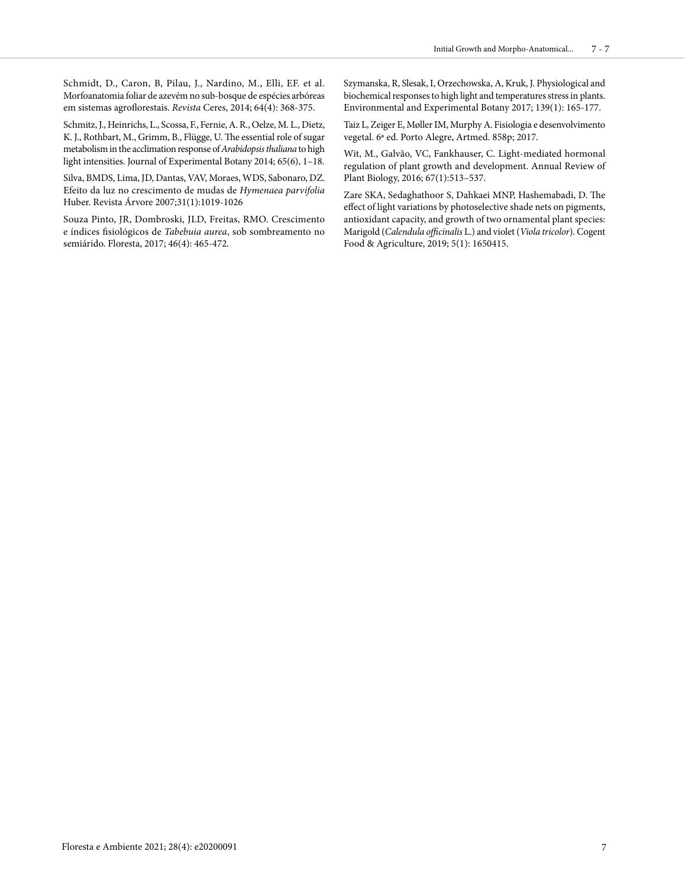Schmidt, D., Caron, B, Pilau, J., Nardino, M., Elli, EF. et al. Morfoanatomia foliar de azevém no sub-bosque de espécies arbóreas em sistemas agroflorestais. *Revista* Ceres, 2014; 64(4): 368-375.

Schmitz, J., Heinrichs, L., Scossa, F., Fernie, A. R., Oelze, M. L., Dietz, K. J., Rothbart, M., Grimm, B., Flügge, U. The essential role of sugar metabolism in the acclimation response of *Arabidopsis thaliana* to high light intensities. Journal of Experimental Botany 2014; 65(6), 1–18.

Silva, BMDS, Lima, JD, Dantas, VAV, Moraes, WDS, Sabonaro, DZ. Efeito da luz no crescimento de mudas de *Hymenaea parvifolia* Huber. Revista Árvore 2007;31(1):1019-1026

Souza Pinto, JR, Dombroski, JLD, Freitas, RMO. Crescimento e índices fisiológicos de *Tabebuia aurea*, sob sombreamento no semiárido. Floresta, 2017; 46(4): 465-472.

Szymanska, R, Slesak, I, Orzechowska, A, Kruk, J. Physiological and biochemical responses to high light and temperatures stress in plants. Environmental and Experimental Botany 2017; 139(1): 165-177.

Taiz L, Zeiger E, Møller IM, Murphy A. Fisiologia e desenvolvimento vegetal. 6ª ed. Porto Alegre, Artmed. 858p; 2017.

Wit, M., Galvão, VC, Fankhauser, C. Light-mediated hormonal regulation of plant growth and development. Annual Review of Plant Biology, 2016; 67(1):513–537.

Zare SKA, Sedaghathoor S, Dahkaei MNP, Hashemabadi, D. The effect of light variations by photoselective shade nets on pigments, antioxidant capacity, and growth of two ornamental plant species: Marigold (*Calendula officinalis* L.) and violet (*Viola tricolor*). Cogent Food & Agriculture, 2019; 5(1): 1650415.